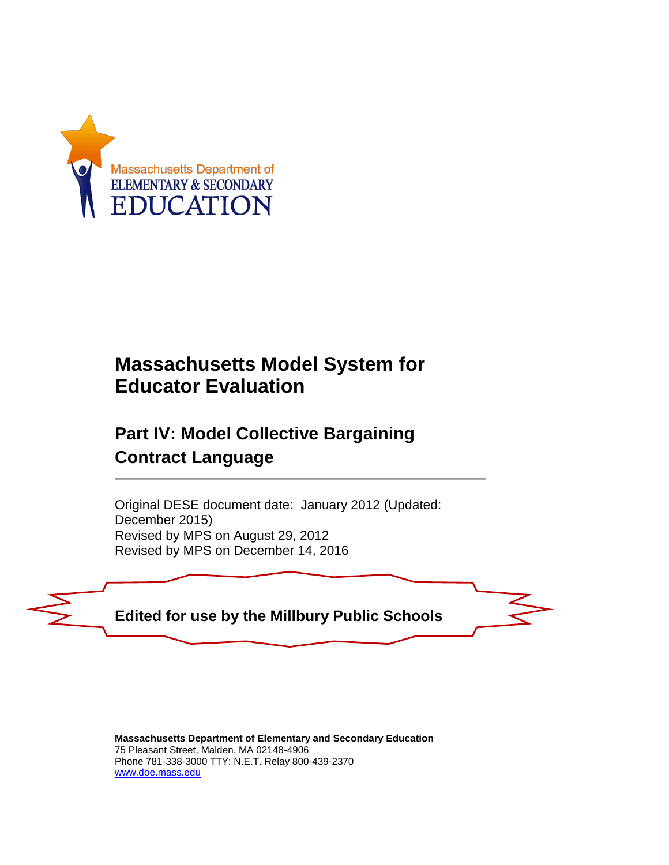

# **Massachusetts Model System for Educator Evaluation**

## **Part IV: Model Collective Bargaining Contract Language**

Original DESE document date: January 2012 (Updated: December 2015) Revised by MPS on August 29, 2012 Revised by MPS on December 14, 2016



**Massachusetts Department of Elementary and Secondary Education** 75 Pleasant Street, Malden, MA 02148-4906 Phone 781-338-3000 TTY: N.E.T. Relay 800-439-2370 [www.doe.mass.edu](http://www.doe.mass.edu/)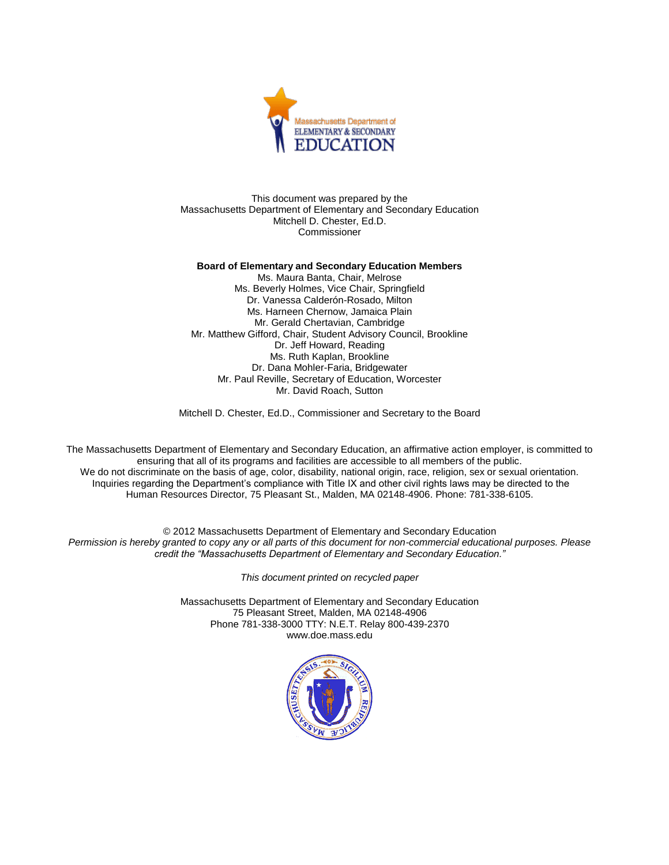

This document was prepared by the Massachusetts Department of Elementary and Secondary Education Mitchell D. Chester, Ed.D. Commissioner

#### **Board of Elementary and Secondary Education Members**

Ms. Maura Banta, Chair, Melrose Ms. Beverly Holmes, Vice Chair, Springfield Dr. Vanessa Calderón-Rosado, Milton Ms. Harneen Chernow, Jamaica Plain Mr. Gerald Chertavian, Cambridge Mr. Matthew Gifford, Chair, Student Advisory Council, Brookline Dr. Jeff Howard, Reading Ms. Ruth Kaplan, Brookline Dr. Dana Mohler-Faria, Bridgewater Mr. Paul Reville, Secretary of Education, Worcester Mr. David Roach, Sutton

Mitchell D. Chester, Ed.D., Commissioner and Secretary to the Board

The Massachusetts Department of Elementary and Secondary Education, an affirmative action employer, is committed to ensuring that all of its programs and facilities are accessible to all members of the public. We do not discriminate on the basis of age, color, disability, national origin, race, religion, sex or sexual orientation. Inquiries regarding the Department's compliance with Title IX and other civil rights laws may be directed to the Human Resources Director, 75 Pleasant St., Malden, MA 02148-4906. Phone: 781-338-6105.

© 2012 Massachusetts Department of Elementary and Secondary Education *Permission is hereby granted to copy any or all parts of this document for non-commercial educational purposes. Please credit the "Massachusetts Department of Elementary and Secondary Education."*

*This document printed on recycled paper*

Massachusetts Department of Elementary and Secondary Education 75 Pleasant Street, Malden, MA 02148-4906 Phone 781-338-3000 TTY: N.E.T. Relay 800-439-2370 www.doe.mass.edu

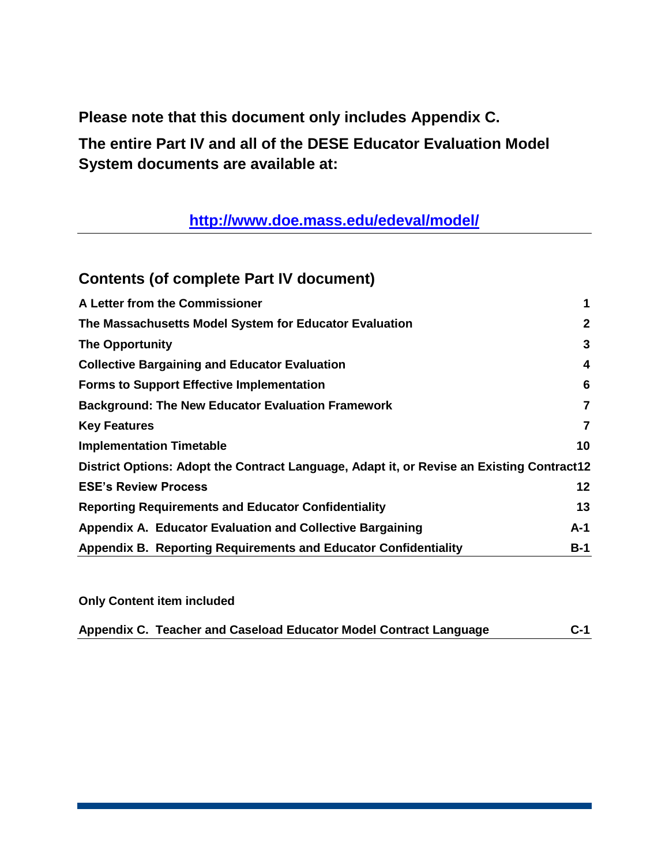**Please note that this document only includes Appendix C.**

**The entire Part IV and all of the DESE Educator Evaluation Model System documents are available at:**

**<http://www.doe.mass.edu/edeval/model/>**

### **Contents (of complete Part IV document)**

| A Letter from the Commissioner                                                            | 1            |  |  |
|-------------------------------------------------------------------------------------------|--------------|--|--|
| The Massachusetts Model System for Educator Evaluation                                    | $\mathbf{2}$ |  |  |
| <b>The Opportunity</b>                                                                    | 3            |  |  |
| <b>Collective Bargaining and Educator Evaluation</b>                                      | 4            |  |  |
| <b>Forms to Support Effective Implementation</b>                                          | 6            |  |  |
| <b>Background: The New Educator Evaluation Framework</b>                                  | 7            |  |  |
| <b>Key Features</b>                                                                       | 7            |  |  |
| <b>Implementation Timetable</b>                                                           | 10           |  |  |
| District Options: Adopt the Contract Language, Adapt it, or Revise an Existing Contract12 |              |  |  |
| <b>ESE's Review Process</b>                                                               | 12           |  |  |
| <b>Reporting Requirements and Educator Confidentiality</b>                                |              |  |  |
| Appendix A. Educator Evaluation and Collective Bargaining                                 | A-1          |  |  |
| Appendix B. Reporting Requirements and Educator Confidentiality                           | B-1          |  |  |

**Only Content item included**

| Appendix C. Teacher and Caseload Educator Model Contract Language | $C-1$ |
|-------------------------------------------------------------------|-------|
|                                                                   |       |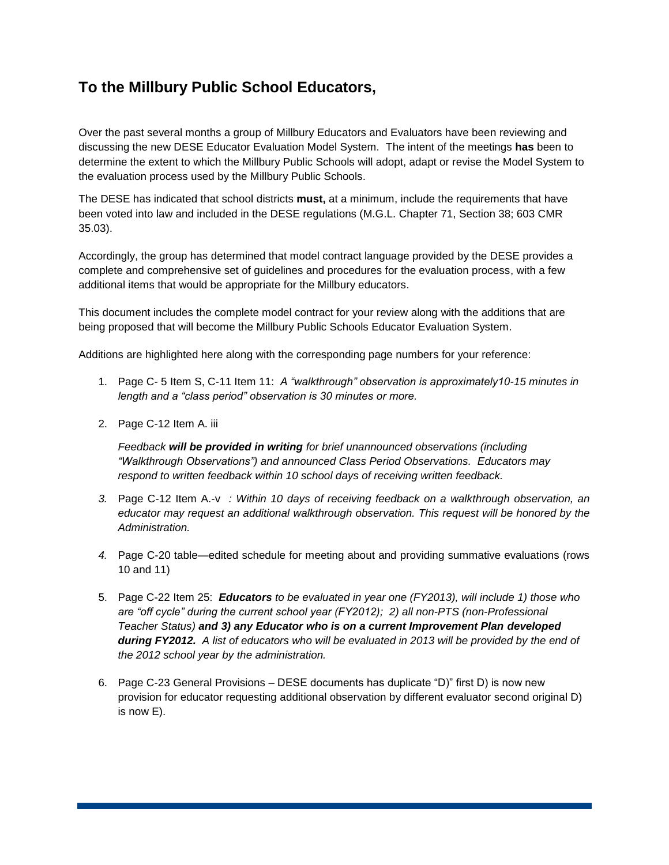## **To the Millbury Public School Educators,**

Over the past several months a group of Millbury Educators and Evaluators have been reviewing and discussing the new DESE Educator Evaluation Model System. The intent of the meetings **has** been to determine the extent to which the Millbury Public Schools will adopt, adapt or revise the Model System to the evaluation process used by the Millbury Public Schools.

The DESE has indicated that school districts **must,** at a minimum, include the requirements that have been voted into law and included in the DESE regulations (M.G.L. Chapter 71, Section 38; 603 CMR 35.03).

Accordingly, the group has determined that model contract language provided by the DESE provides a complete and comprehensive set of guidelines and procedures for the evaluation process, with a few additional items that would be appropriate for the Millbury educators.

This document includes the complete model contract for your review along with the additions that are being proposed that will become the Millbury Public Schools Educator Evaluation System.

Additions are highlighted here along with the corresponding page numbers for your reference:

- 1. Page C- 5 Item S, C-11 Item 11: *A "walkthrough" observation is approximately10-15 minutes in length and a "class period" observation is 30 minutes or more.*
- 2. Page C-12 Item A. iii

*Feedback will be provided in writing for brief unannounced observations (including "Walkthrough Observations") and announced Class Period Observations. Educators may respond to written feedback within 10 school days of receiving written feedback.*

- *3.* Page C-12 Item A.-v *: Within 10 days of receiving feedback on a walkthrough observation, an educator may request an additional walkthrough observation. This request will be honored by the Administration.*
- *4.* Page C-20 table—edited schedule for meeting about and providing summative evaluations (rows 10 and 11)
- 5. Page C-22 Item 25: *Educators to be evaluated in year one (FY2013), will include 1) those who are "off cycle" during the current school year (FY2012); 2) all non-PTS (non-Professional Teacher Status) and 3) any Educator who is on a current Improvement Plan developed during FY2012. A list of educators who will be evaluated in 2013 will be provided by the end of the 2012 school year by the administration.*
- 6. Page C-23 General Provisions DESE documents has duplicate "D)" first D) is now new provision for educator requesting additional observation by different evaluator second original D) is now E).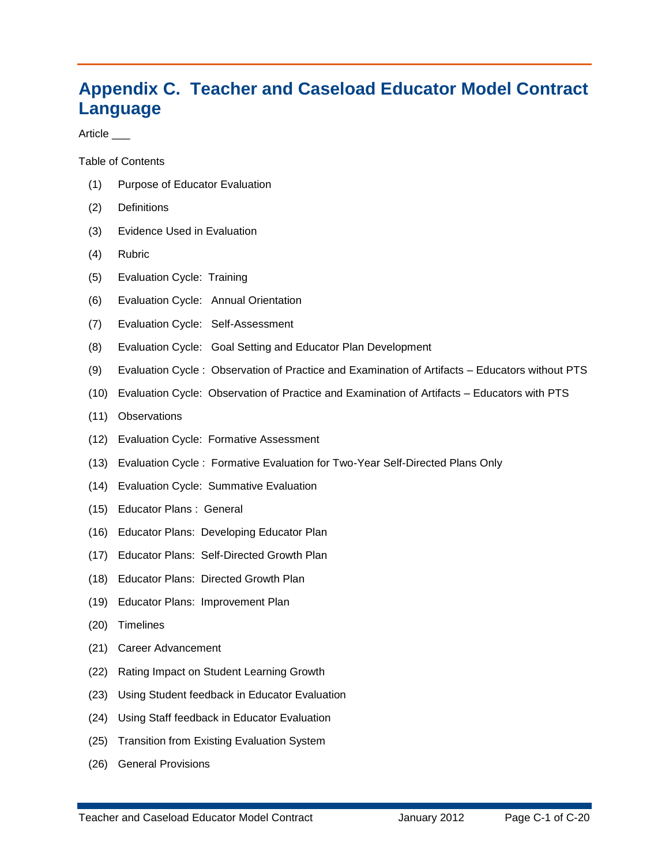## **Appendix C. Teacher and Caseload Educator Model Contract Language**

Article \_\_\_

Table of Contents

- (1) Purpose of Educator Evaluation
- (2) Definitions
- (3) Evidence Used in Evaluation
- (4) Rubric
- (5) Evaluation Cycle: Training
- (6) Evaluation Cycle: Annual Orientation
- (7) Evaluation Cycle: Self-Assessment
- (8) Evaluation Cycle: Goal Setting and Educator Plan Development
- (9) Evaluation Cycle : Observation of Practice and Examination of Artifacts Educators without PTS
- (10) Evaluation Cycle: Observation of Practice and Examination of Artifacts Educators with PTS
- (11) Observations
- (12) Evaluation Cycle: Formative Assessment
- (13) Evaluation Cycle : Formative Evaluation for Two-Year Self-Directed Plans Only
- (14) Evaluation Cycle: Summative Evaluation
- (15) Educator Plans : General
- (16) Educator Plans: Developing Educator Plan
- (17) Educator Plans: Self-Directed Growth Plan
- (18) Educator Plans: Directed Growth Plan
- (19) Educator Plans: Improvement Plan
- (20) Timelines
- (21) Career Advancement
- (22) Rating Impact on Student Learning Growth
- (23) Using Student feedback in Educator Evaluation
- (24) Using Staff feedback in Educator Evaluation
- (25) Transition from Existing Evaluation System
- (26) General Provisions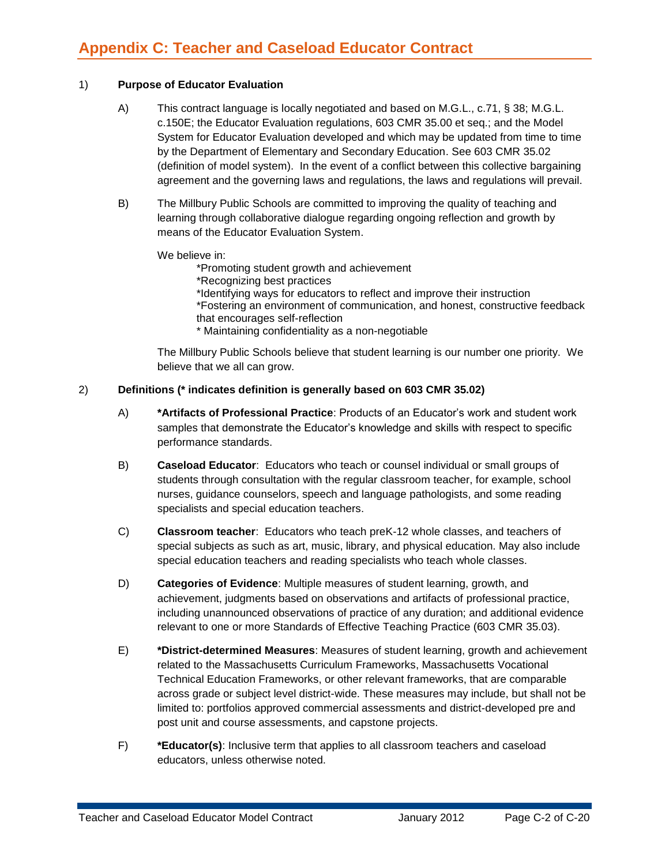#### 1) **Purpose of Educator Evaluation**

- A) This contract language is locally negotiated and based on M.G.L., c.71, § 38; M.G.L. c.150E; the Educator Evaluation regulations, 603 CMR 35.00 et seq.; and the Model System for Educator Evaluation developed and which may be updated from time to time by the Department of Elementary and Secondary Education. See 603 CMR 35.02 (definition of model system). In the event of a conflict between this collective bargaining agreement and the governing laws and regulations, the laws and regulations will prevail.
- B) The Millbury Public Schools are committed to improving the quality of teaching and learning through collaborative dialogue regarding ongoing reflection and growth by means of the Educator Evaluation System.

We believe in:

\*Promoting student growth and achievement

\*Recognizing best practices

\*Identifying ways for educators to reflect and improve their instruction \*Fostering an environment of communication, and honest, constructive feedback that encourages self-reflection

\* Maintaining confidentiality as a non-negotiable

The Millbury Public Schools believe that student learning is our number one priority. We believe that we all can grow.

#### 2) **Definitions (\* indicates definition is generally based on 603 CMR 35.02)**

- A) **\*Artifacts of Professional Practice**: Products of an Educator's work and student work samples that demonstrate the Educator's knowledge and skills with respect to specific performance standards.
- B) **Caseload Educator**: Educators who teach or counsel individual or small groups of students through consultation with the regular classroom teacher, for example, school nurses, guidance counselors, speech and language pathologists, and some reading specialists and special education teachers.
- C) **Classroom teacher**: Educators who teach preK-12 whole classes, and teachers of special subjects as such as art, music, library, and physical education. May also include special education teachers and reading specialists who teach whole classes.
- D) **Categories of Evidence**: Multiple measures of student learning, growth, and achievement, judgments based on observations and artifacts of professional practice, including unannounced observations of practice of any duration; and additional evidence relevant to one or more Standards of Effective Teaching Practice (603 CMR 35.03).
- E) **\*District-determined Measures**: Measures of student learning, growth and achievement related to the Massachusetts Curriculum Frameworks, Massachusetts Vocational Technical Education Frameworks, or other relevant frameworks, that are comparable across grade or subject level district-wide. These measures may include, but shall not be limited to: portfolios approved commercial assessments and district-developed pre and post unit and course assessments, and capstone projects.
- F) **\*Educator(s)**: Inclusive term that applies to all classroom teachers and caseload educators, unless otherwise noted.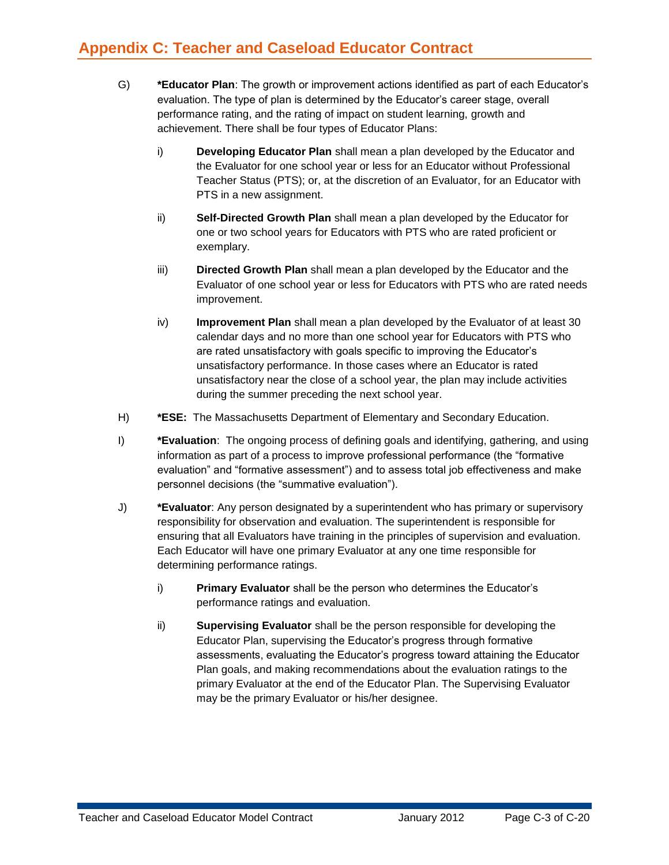- G) **\*Educator Plan**: The growth or improvement actions identified as part of each Educator's evaluation. The type of plan is determined by the Educator's career stage, overall performance rating, and the rating of impact on student learning, growth and achievement. There shall be four types of Educator Plans:
	- i) **Developing Educator Plan** shall mean a plan developed by the Educator and the Evaluator for one school year or less for an Educator without Professional Teacher Status (PTS); or, at the discretion of an Evaluator, for an Educator with PTS in a new assignment.
	- ii) **Self-Directed Growth Plan** shall mean a plan developed by the Educator for one or two school years for Educators with PTS who are rated proficient or exemplary.
	- iii) **Directed Growth Plan** shall mean a plan developed by the Educator and the Evaluator of one school year or less for Educators with PTS who are rated needs improvement.
	- iv) **Improvement Plan** shall mean a plan developed by the Evaluator of at least 30 calendar days and no more than one school year for Educators with PTS who are rated unsatisfactory with goals specific to improving the Educator's unsatisfactory performance. In those cases where an Educator is rated unsatisfactory near the close of a school year, the plan may include activities during the summer preceding the next school year.
- H) **\*ESE:** The Massachusetts Department of Elementary and Secondary Education.
- I) **\*Evaluation**: The ongoing process of defining goals and identifying, gathering, and using information as part of a process to improve professional performance (the "formative evaluation" and "formative assessment") and to assess total job effectiveness and make personnel decisions (the "summative evaluation").
- J) **\*Evaluator**: Any person designated by a superintendent who has primary or supervisory responsibility for observation and evaluation. The superintendent is responsible for ensuring that all Evaluators have training in the principles of supervision and evaluation. Each Educator will have one primary Evaluator at any one time responsible for determining performance ratings.
	- i) **Primary Evaluator** shall be the person who determines the Educator's performance ratings and evaluation.
	- ii) **Supervising Evaluator** shall be the person responsible for developing the Educator Plan, supervising the Educator's progress through formative assessments, evaluating the Educator's progress toward attaining the Educator Plan goals, and making recommendations about the evaluation ratings to the primary Evaluator at the end of the Educator Plan. The Supervising Evaluator may be the primary Evaluator or his/her designee.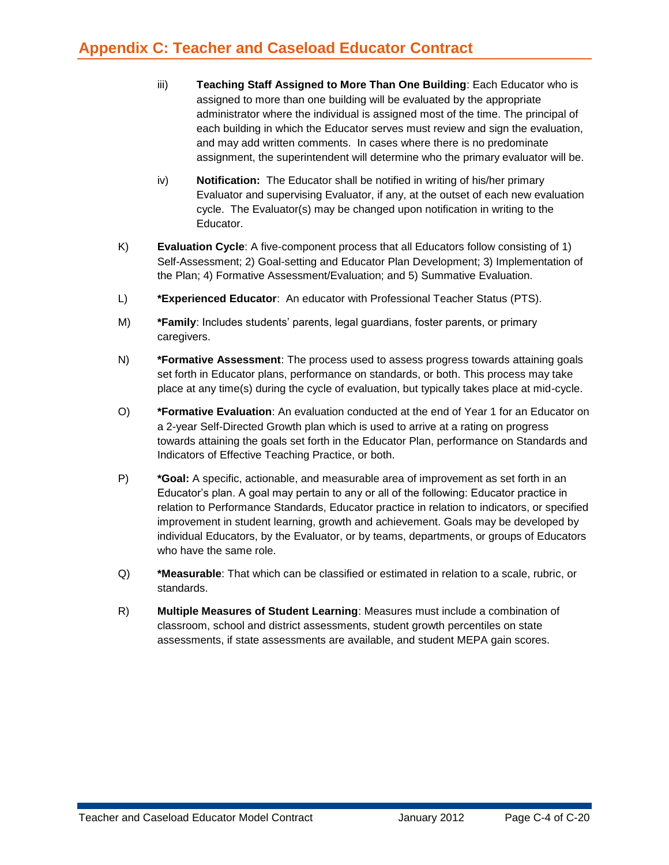- iii) **Teaching Staff Assigned to More Than One Building**: Each Educator who is assigned to more than one building will be evaluated by the appropriate administrator where the individual is assigned most of the time. The principal of each building in which the Educator serves must review and sign the evaluation, and may add written comments. In cases where there is no predominate assignment, the superintendent will determine who the primary evaluator will be.
- iv) **Notification:** The Educator shall be notified in writing of his/her primary Evaluator and supervising Evaluator, if any, at the outset of each new evaluation cycle. The Evaluator(s) may be changed upon notification in writing to the Educator.
- K) **Evaluation Cycle**: A five-component process that all Educators follow consisting of 1) Self-Assessment; 2) Goal-setting and Educator Plan Development; 3) Implementation of the Plan; 4) Formative Assessment/Evaluation; and 5) Summative Evaluation.
- L) **\*Experienced Educator**: An educator with Professional Teacher Status (PTS).
- M) **\*Family**: Includes students' parents, legal guardians, foster parents, or primary caregivers.
- N) **\*Formative Assessment**: The process used to assess progress towards attaining goals set forth in Educator plans, performance on standards, or both. This process may take place at any time(s) during the cycle of evaluation, but typically takes place at mid-cycle.
- O) **\*Formative Evaluation**: An evaluation conducted at the end of Year 1 for an Educator on a 2-year Self-Directed Growth plan which is used to arrive at a rating on progress towards attaining the goals set forth in the Educator Plan, performance on Standards and Indicators of Effective Teaching Practice, or both.
- P) **\*Goal:** A specific, actionable, and measurable area of improvement as set forth in an Educator's plan. A goal may pertain to any or all of the following: Educator practice in relation to Performance Standards, Educator practice in relation to indicators, or specified improvement in student learning, growth and achievement. Goals may be developed by individual Educators, by the Evaluator, or by teams, departments, or groups of Educators who have the same role.
- Q) **\*Measurable**: That which can be classified or estimated in relation to a scale, rubric, or standards.
- R) **Multiple Measures of Student Learning**: Measures must include a combination of classroom, school and district assessments, student growth percentiles on state assessments, if state assessments are available, and student MEPA gain scores.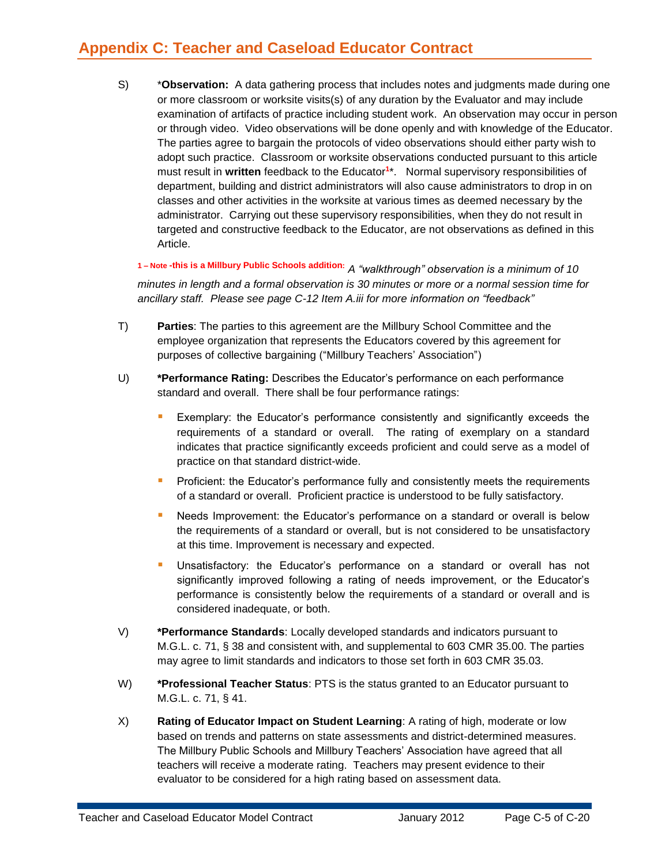## **Appendix C: Teacher and Caseload Educator Contract**

S) \***Observation:** A data gathering process that includes notes and judgments made during one or more classroom or worksite visits(s) of any duration by the Evaluator and may include examination of artifacts of practice including student work. An observation may occur in person or through video. Video observations will be done openly and with knowledge of the Educator. The parties agree to bargain the protocols of video observations should either party wish to adopt such practice. Classroom or worksite observations conducted pursuant to this article must result in **written** feedback to the Educator**<sup>1</sup>** \*. Normal supervisory responsibilities of department, building and district administrators will also cause administrators to drop in on classes and other activities in the worksite at various times as deemed necessary by the administrator. Carrying out these supervisory responsibilities, when they do not result in targeted and constructive feedback to the Educator, are not observations as defined in this Article.

**<sup>1</sup> – Note -this is a Millbury Public Schools addition:** *A "walkthrough" observation is a minimum of 10 minutes in length and a formal observation is 30 minutes or more or a normal session time for ancillary staff. Please see page C-12 Item A.iii for more information on "feedback"*

- T) **Parties**: The parties to this agreement are the Millbury School Committee and the employee organization that represents the Educators covered by this agreement for purposes of collective bargaining ("Millbury Teachers' Association")
- U) **\*Performance Rating:** Describes the Educator's performance on each performance standard and overall. There shall be four performance ratings:
	- Exemplary: the Educator's performance consistently and significantly exceeds the requirements of a standard or overall. The rating of exemplary on a standard indicates that practice significantly exceeds proficient and could serve as a model of practice on that standard district-wide.
	- **Proficient: the Educator's performance fully and consistently meets the requirements** of a standard or overall. Proficient practice is understood to be fully satisfactory.
	- **•** Needs Improvement: the Educator's performance on a standard or overall is below the requirements of a standard or overall, but is not considered to be unsatisfactory at this time. Improvement is necessary and expected.
	- Unsatisfactory: the Educator's performance on a standard or overall has not significantly improved following a rating of needs improvement, or the Educator's performance is consistently below the requirements of a standard or overall and is considered inadequate, or both.
- V) **\*Performance Standards**: Locally developed standards and indicators pursuant to M.G.L. c. 71, § 38 and consistent with, and supplemental to 603 CMR 35.00. The parties may agree to limit standards and indicators to those set forth in 603 CMR 35.03.
- W) **\*Professional Teacher Status**: PTS is the status granted to an Educator pursuant to M.G.L. c. 71, § 41.
- X) **Rating of Educator Impact on Student Learning**: A rating of high, moderate or low based on trends and patterns on state assessments and district-determined measures. The Millbury Public Schools and Millbury Teachers' Association have agreed that all teachers will receive a moderate rating. Teachers may present evidence to their evaluator to be considered for a high rating based on assessment data.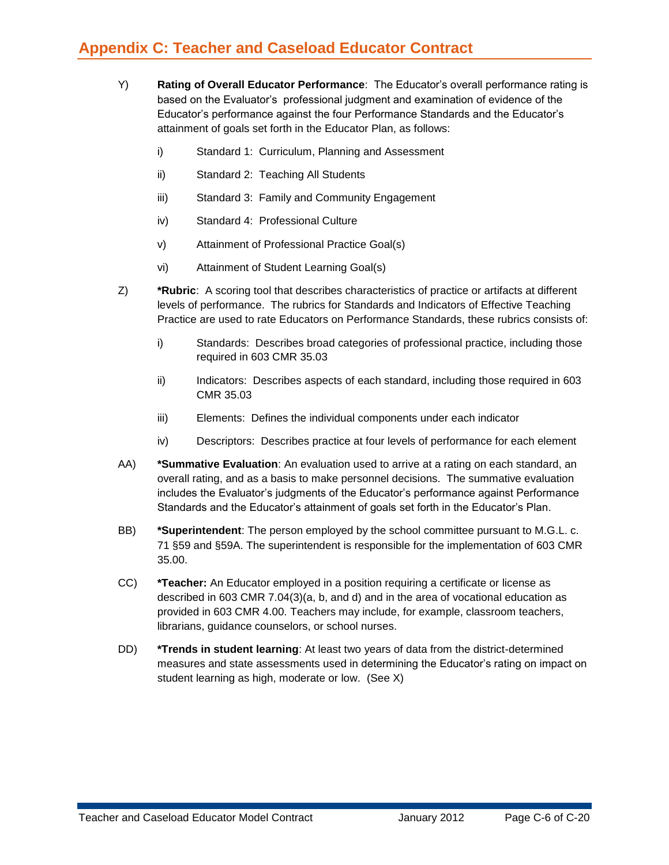- Y) **Rating of Overall Educator Performance**: The Educator's overall performance rating is based on the Evaluator's professional judgment and examination of evidence of the Educator's performance against the four Performance Standards and the Educator's attainment of goals set forth in the Educator Plan, as follows:
	- i) Standard 1: Curriculum, Planning and Assessment
	- ii) Standard 2: Teaching All Students
	- iii) Standard 3: Family and Community Engagement
	- iv) Standard 4: Professional Culture
	- v) Attainment of Professional Practice Goal(s)
	- vi) Attainment of Student Learning Goal(s)
- Z) **\*Rubric**: A scoring tool that describes characteristics of practice or artifacts at different levels of performance. The rubrics for Standards and Indicators of Effective Teaching Practice are used to rate Educators on Performance Standards, these rubrics consists of:
	- i) Standards: Describes broad categories of professional practice, including those required in 603 CMR 35.03
	- ii) Indicators: Describes aspects of each standard, including those required in 603 CMR 35.03
	- iii) Elements: Defines the individual components under each indicator
	- iv) Descriptors: Describes practice at four levels of performance for each element
- AA) **\*Summative Evaluation**: An evaluation used to arrive at a rating on each standard, an overall rating, and as a basis to make personnel decisions. The summative evaluation includes the Evaluator's judgments of the Educator's performance against Performance Standards and the Educator's attainment of goals set forth in the Educator's Plan.
- BB) **\*Superintendent**: The person employed by the school committee pursuant to M.G.L. c. 71 §59 and §59A. The superintendent is responsible for the implementation of 603 CMR 35.00.
- CC) **\*Teacher:** An Educator employed in a position requiring a certificate or license as described in 603 CMR 7.04(3)(a, b, and d) and in the area of vocational education as provided in 603 CMR 4.00. Teachers may include, for example, classroom teachers, librarians, guidance counselors, or school nurses.
- DD) **\*Trends in student learning**: At least two years of data from the district-determined measures and state assessments used in determining the Educator's rating on impact on student learning as high, moderate or low. (See X)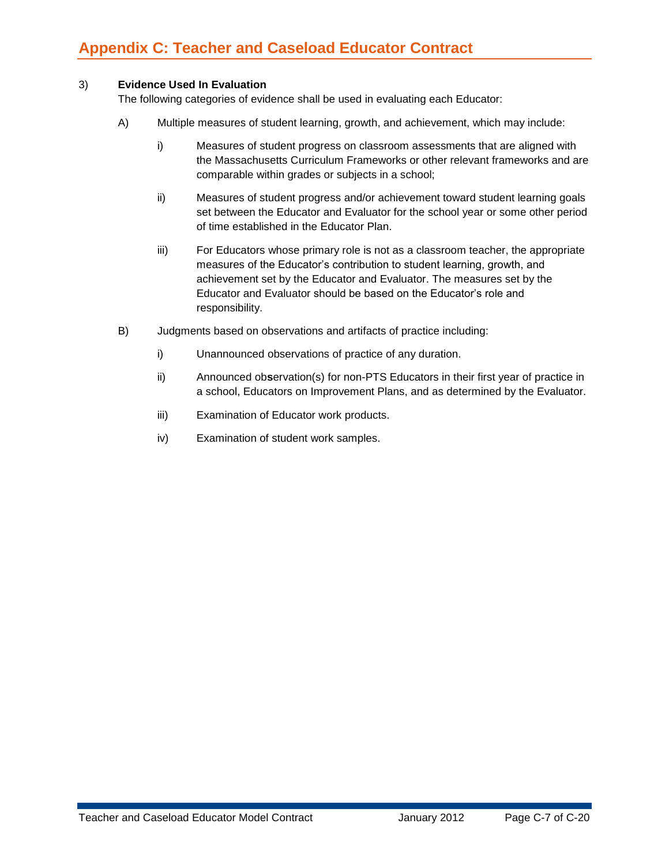### 3) **Evidence Used In Evaluation**

The following categories of evidence shall be used in evaluating each Educator:

- A) Multiple measures of student learning, growth, and achievement, which may include:
	- i) Measures of student progress on classroom assessments that are aligned with the Massachusetts Curriculum Frameworks or other relevant frameworks and are comparable within grades or subjects in a school;
	- ii) Measures of student progress and/or achievement toward student learning goals set between the Educator and Evaluator for the school year or some other period of time established in the Educator Plan.
	- iii) For Educators whose primary role is not as a classroom teacher, the appropriate measures of the Educator's contribution to student learning, growth, and achievement set by the Educator and Evaluator. The measures set by the Educator and Evaluator should be based on the Educator's role and responsibility.
- B) Judgments based on observations and artifacts of practice including:
	- i) Unannounced observations of practice of any duration.
	- ii) Announced ob**s**ervation(s) for non-PTS Educators in their first year of practice in a school, Educators on Improvement Plans, and as determined by the Evaluator.
	- iii) Examination of Educator work products.
	- iv) Examination of student work samples.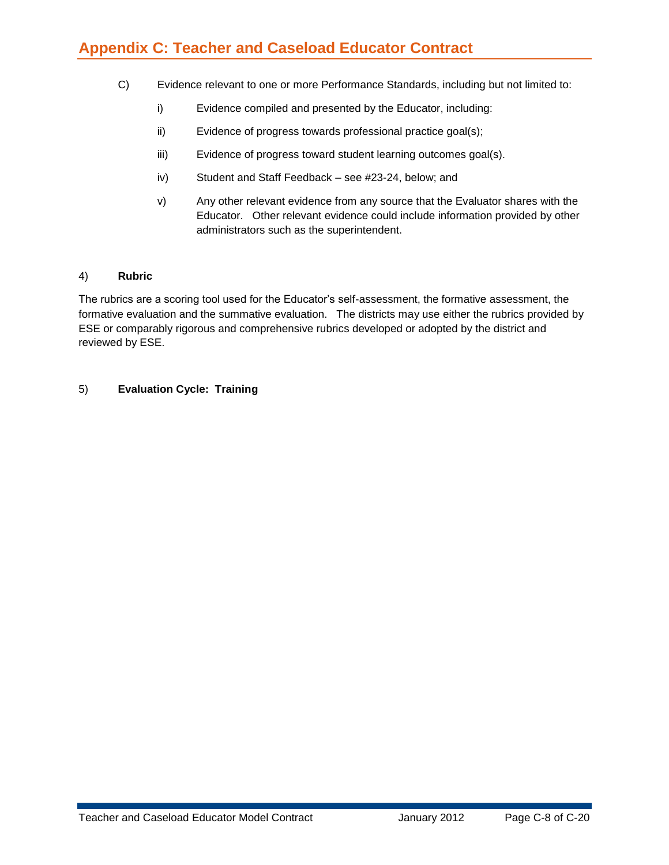## **Appendix C: Teacher and Caseload Educator Contract**

- C) Evidence relevant to one or more Performance Standards, including but not limited to:
	- i) Evidence compiled and presented by the Educator, including:
	- ii) Evidence of progress towards professional practice goal(s);
	- iii) Evidence of progress toward student learning outcomes goal(s).
	- iv) Student and Staff Feedback see #23-24, below; and
	- v) Any other relevant evidence from any source that the Evaluator shares with the Educator. Other relevant evidence could include information provided by other administrators such as the superintendent.

#### 4) **Rubric**

The rubrics are a scoring tool used for the Educator's self-assessment, the formative assessment, the formative evaluation and the summative evaluation. The districts may use either the rubrics provided by ESE or comparably rigorous and comprehensive rubrics developed or adopted by the district and reviewed by ESE.

#### 5) **Evaluation Cycle: Training**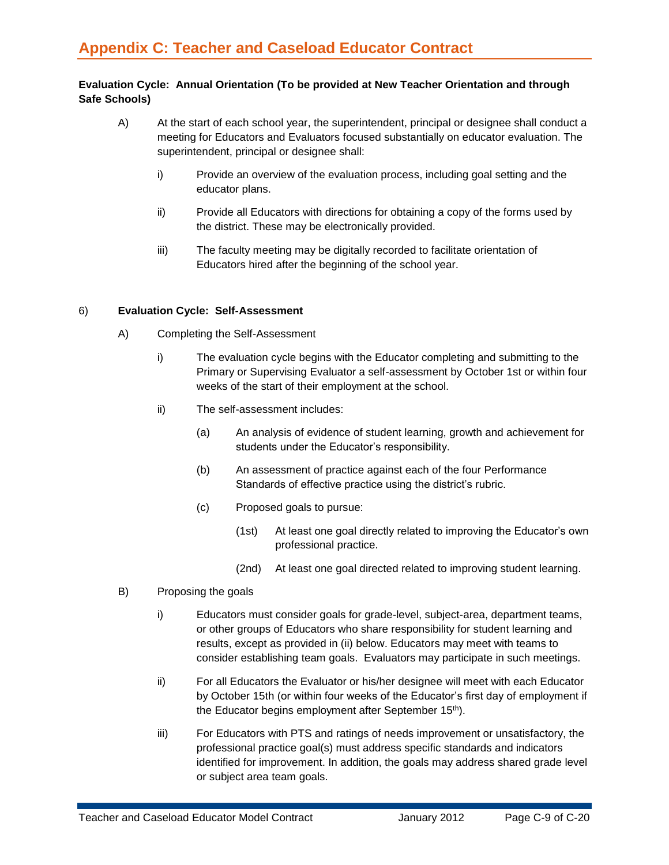#### **Evaluation Cycle: Annual Orientation (To be provided at New Teacher Orientation and through Safe Schools)**

- A) At the start of each school year, the superintendent, principal or designee shall conduct a meeting for Educators and Evaluators focused substantially on educator evaluation. The superintendent, principal or designee shall:
	- i) Provide an overview of the evaluation process, including goal setting and the educator plans.
	- ii) Provide all Educators with directions for obtaining a copy of the forms used by the district. These may be electronically provided.
	- iii) The faculty meeting may be digitally recorded to facilitate orientation of Educators hired after the beginning of the school year.

#### 6) **Evaluation Cycle: Self-Assessment**

- A) Completing the Self-Assessment
	- i) The evaluation cycle begins with the Educator completing and submitting to the Primary or Supervising Evaluator a self-assessment by October 1st or within four weeks of the start of their employment at the school.
	- ii) The self-assessment includes:
		- (a) An analysis of evidence of student learning, growth and achievement for students under the Educator's responsibility.
		- (b) An assessment of practice against each of the four Performance Standards of effective practice using the district's rubric.
		- (c) Proposed goals to pursue:
			- (1st) At least one goal directly related to improving the Educator's own professional practice.
			- (2nd) At least one goal directed related to improving student learning.
- B) Proposing the goals
	- i) Educators must consider goals for grade-level, subject-area, department teams, or other groups of Educators who share responsibility for student learning and results, except as provided in (ii) below. Educators may meet with teams to consider establishing team goals. Evaluators may participate in such meetings.
	- ii) For all Educators the Evaluator or his/her designee will meet with each Educator by October 15th (or within four weeks of the Educator's first day of employment if the Educator begins employment after September 15<sup>th</sup>).
	- iii) For Educators with PTS and ratings of needs improvement or unsatisfactory, the professional practice goal(s) must address specific standards and indicators identified for improvement. In addition, the goals may address shared grade level or subject area team goals.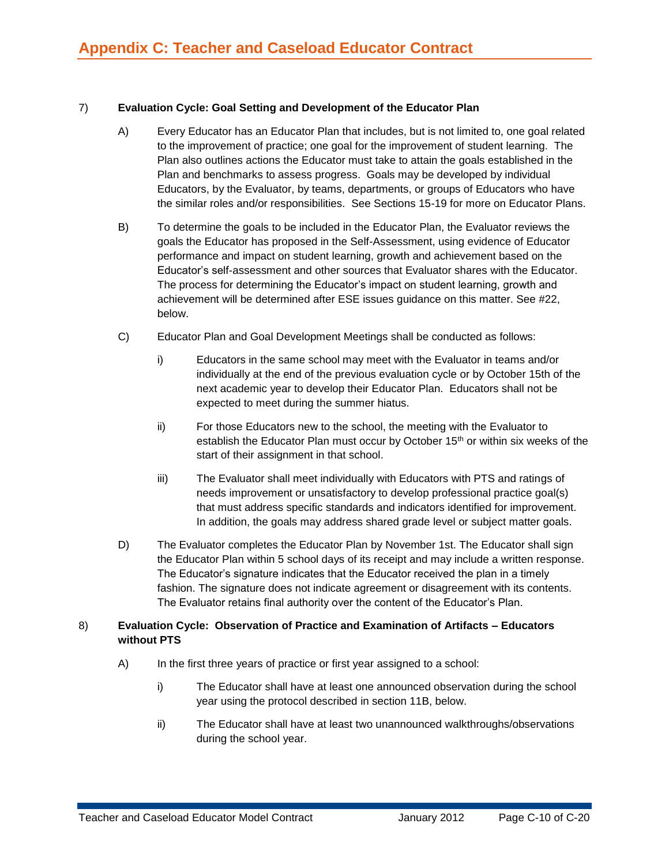#### 7) **Evaluation Cycle: Goal Setting and Development of the Educator Plan**

- A) Every Educator has an Educator Plan that includes, but is not limited to, one goal related to the improvement of practice; one goal for the improvement of student learning. The Plan also outlines actions the Educator must take to attain the goals established in the Plan and benchmarks to assess progress. Goals may be developed by individual Educators, by the Evaluator, by teams, departments, or groups of Educators who have the similar roles and/or responsibilities. See Sections 15-19 for more on Educator Plans.
- B) To determine the goals to be included in the Educator Plan, the Evaluator reviews the goals the Educator has proposed in the Self-Assessment, using evidence of Educator performance and impact on student learning, growth and achievement based on the Educator's self-assessment and other sources that Evaluator shares with the Educator. The process for determining the Educator's impact on student learning, growth and achievement will be determined after ESE issues guidance on this matter. See #22, below.
- C) Educator Plan and Goal Development Meetings shall be conducted as follows:
	- i) Educators in the same school may meet with the Evaluator in teams and/or individually at the end of the previous evaluation cycle or by October 15th of the next academic year to develop their Educator Plan. Educators shall not be expected to meet during the summer hiatus.
	- ii) For those Educators new to the school, the meeting with the Evaluator to establish the Educator Plan must occur by October 15<sup>th</sup> or within six weeks of the start of their assignment in that school.
	- iii) The Evaluator shall meet individually with Educators with PTS and ratings of needs improvement or unsatisfactory to develop professional practice goal(s) that must address specific standards and indicators identified for improvement. In addition, the goals may address shared grade level or subject matter goals.
- D) The Evaluator completes the Educator Plan by November 1st. The Educator shall sign the Educator Plan within 5 school days of its receipt and may include a written response. The Educator's signature indicates that the Educator received the plan in a timely fashion. The signature does not indicate agreement or disagreement with its contents. The Evaluator retains final authority over the content of the Educator's Plan.

#### 8) **Evaluation Cycle: Observation of Practice and Examination of Artifacts – Educators without PTS**

- A) In the first three years of practice or first year assigned to a school:
	- i) The Educator shall have at least one announced observation during the school year using the protocol described in section 11B, below.
	- ii) The Educator shall have at least two unannounced walkthroughs/observations during the school year.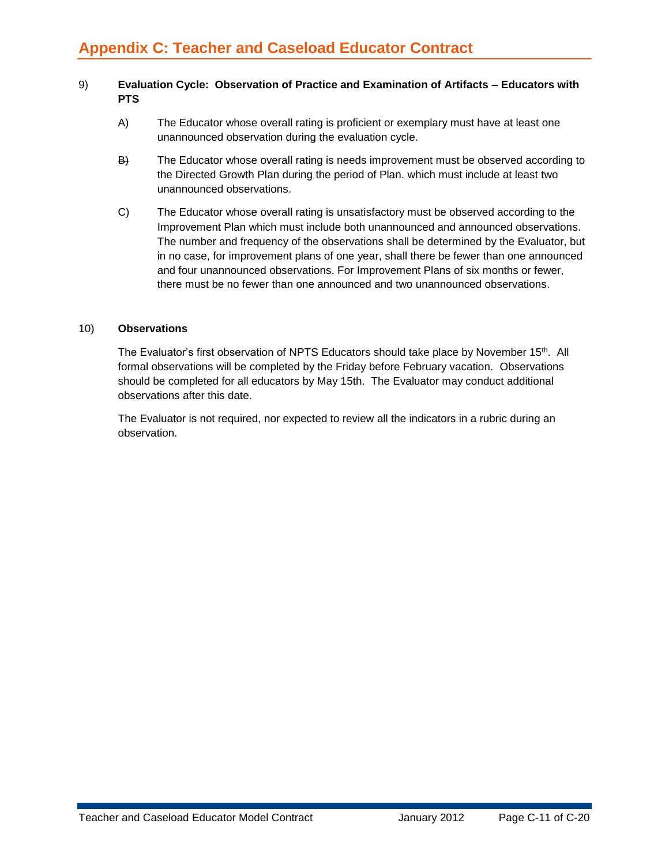#### 9) **Evaluation Cycle: Observation of Practice and Examination of Artifacts – Educators with PTS**

- A) The Educator whose overall rating is proficient or exemplary must have at least one unannounced observation during the evaluation cycle.
- B) The Educator whose overall rating is needs improvement must be observed according to the Directed Growth Plan during the period of Plan. which must include at least two unannounced observations.
- C) The Educator whose overall rating is unsatisfactory must be observed according to the Improvement Plan which must include both unannounced and announced observations. The number and frequency of the observations shall be determined by the Evaluator, but in no case, for improvement plans of one year, shall there be fewer than one announced and four unannounced observations. For Improvement Plans of six months or fewer, there must be no fewer than one announced and two unannounced observations.

#### 10) **Observations**

The Evaluator's first observation of NPTS Educators should take place by November 15<sup>th</sup>. All formal observations will be completed by the Friday before February vacation. Observations should be completed for all educators by May 15th. The Evaluator may conduct additional observations after this date.

The Evaluator is not required, nor expected to review all the indicators in a rubric during an observation.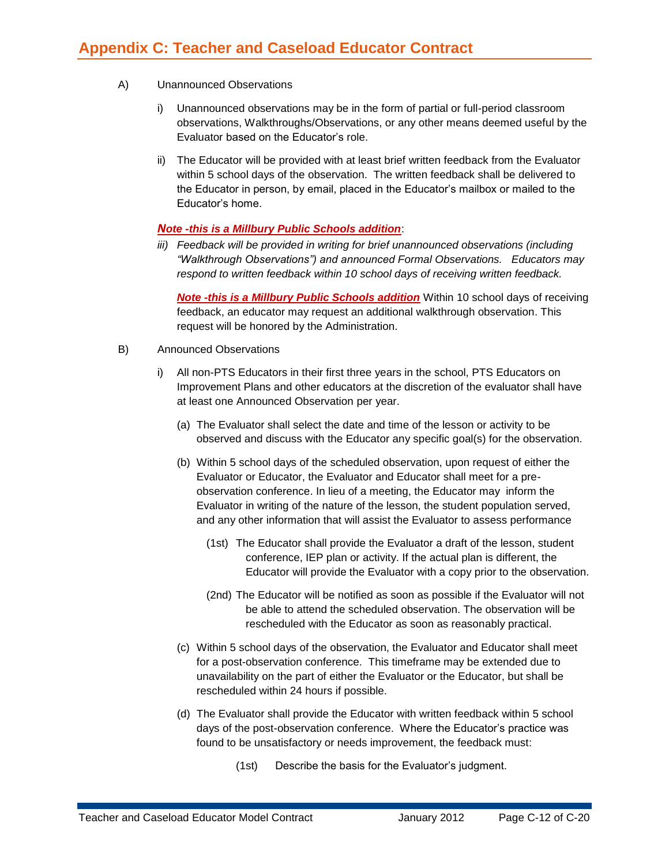- A) Unannounced Observations
	- i) Unannounced observations may be in the form of partial or full-period classroom observations, Walkthroughs/Observations, or any other means deemed useful by the Evaluator based on the Educator's role.
	- ii) The Educator will be provided with at least brief written feedback from the Evaluator within 5 school days of the observation. The written feedback shall be delivered to the Educator in person, by email, placed in the Educator's mailbox or mailed to the Educator's home.

### *Note -this is a Millbury Public Schools addition*:

*iii) Feedback will be provided in writing for brief unannounced observations (including "Walkthrough Observations") and announced Formal Observations. Educators may respond to written feedback within 10 school days of receiving written feedback.*

*Note -this is a Millbury Public Schools addition* Within 10 school days of receiving feedback, an educator may request an additional walkthrough observation. This request will be honored by the Administration.

- B) Announced Observations
	- i) All non-PTS Educators in their first three years in the school, PTS Educators on Improvement Plans and other educators at the discretion of the evaluator shall have at least one Announced Observation per year.
		- (a) The Evaluator shall select the date and time of the lesson or activity to be observed and discuss with the Educator any specific goal(s) for the observation.
		- (b) Within 5 school days of the scheduled observation, upon request of either the Evaluator or Educator, the Evaluator and Educator shall meet for a preobservation conference. In lieu of a meeting, the Educator may inform the Evaluator in writing of the nature of the lesson, the student population served, and any other information that will assist the Evaluator to assess performance
			- (1st) The Educator shall provide the Evaluator a draft of the lesson, student conference, IEP plan or activity. If the actual plan is different, the Educator will provide the Evaluator with a copy prior to the observation.
			- (2nd) The Educator will be notified as soon as possible if the Evaluator will not be able to attend the scheduled observation. The observation will be rescheduled with the Educator as soon as reasonably practical.
		- (c) Within 5 school days of the observation, the Evaluator and Educator shall meet for a post-observation conference. This timeframe may be extended due to unavailability on the part of either the Evaluator or the Educator, but shall be rescheduled within 24 hours if possible.
		- (d) The Evaluator shall provide the Educator with written feedback within 5 school days of the post-observation conference. Where the Educator's practice was found to be unsatisfactory or needs improvement, the feedback must:
			- (1st) Describe the basis for the Evaluator's judgment.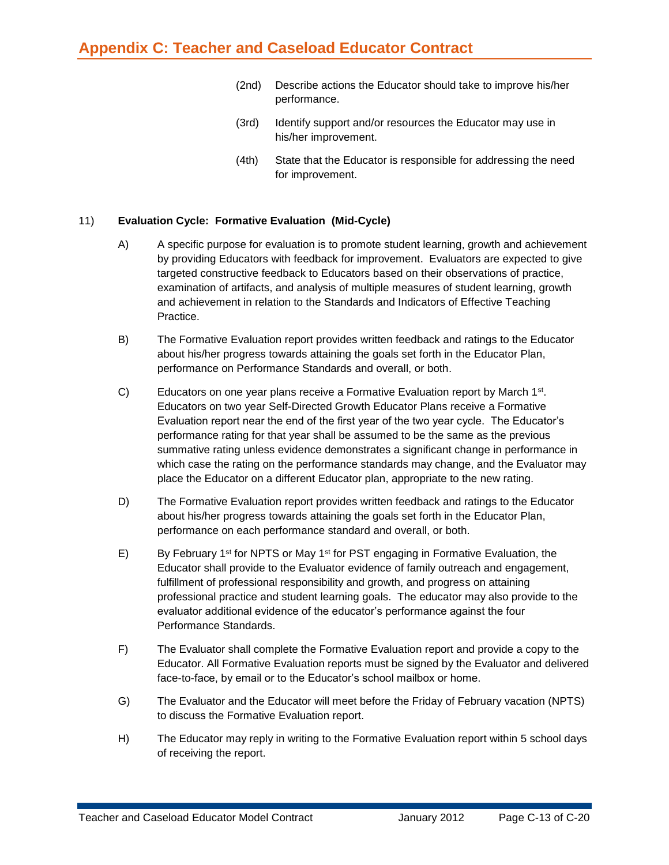- (2nd) Describe actions the Educator should take to improve his/her performance.
- (3rd) Identify support and/or resources the Educator may use in his/her improvement.
- (4th) State that the Educator is responsible for addressing the need for improvement.

#### 11) **Evaluation Cycle: Formative Evaluation (Mid-Cycle)**

- A) A specific purpose for evaluation is to promote student learning, growth and achievement by providing Educators with feedback for improvement. Evaluators are expected to give targeted constructive feedback to Educators based on their observations of practice, examination of artifacts, and analysis of multiple measures of student learning, growth and achievement in relation to the Standards and Indicators of Effective Teaching Practice.
- B) The Formative Evaluation report provides written feedback and ratings to the Educator about his/her progress towards attaining the goals set forth in the Educator Plan, performance on Performance Standards and overall, or both.
- C) Educators on one year plans receive a Formative Evaluation report by March  $1<sup>st</sup>$ . Educators on two year Self-Directed Growth Educator Plans receive a Formative Evaluation report near the end of the first year of the two year cycle. The Educator's performance rating for that year shall be assumed to be the same as the previous summative rating unless evidence demonstrates a significant change in performance in which case the rating on the performance standards may change, and the Evaluator may place the Educator on a different Educator plan, appropriate to the new rating.
- D) The Formative Evaluation report provides written feedback and ratings to the Educator about his/her progress towards attaining the goals set forth in the Educator Plan, performance on each performance standard and overall, or both.
- E) By February 1<sup>st</sup> for NPTS or May 1<sup>st</sup> for PST engaging in Formative Evaluation, the Educator shall provide to the Evaluator evidence of family outreach and engagement, fulfillment of professional responsibility and growth, and progress on attaining professional practice and student learning goals. The educator may also provide to the evaluator additional evidence of the educator's performance against the four Performance Standards.
- F) The Evaluator shall complete the Formative Evaluation report and provide a copy to the Educator. All Formative Evaluation reports must be signed by the Evaluator and delivered face-to-face, by email or to the Educator's school mailbox or home.
- G) The Evaluator and the Educator will meet before the Friday of February vacation (NPTS) to discuss the Formative Evaluation report.
- H) The Educator may reply in writing to the Formative Evaluation report within 5 school days of receiving the report.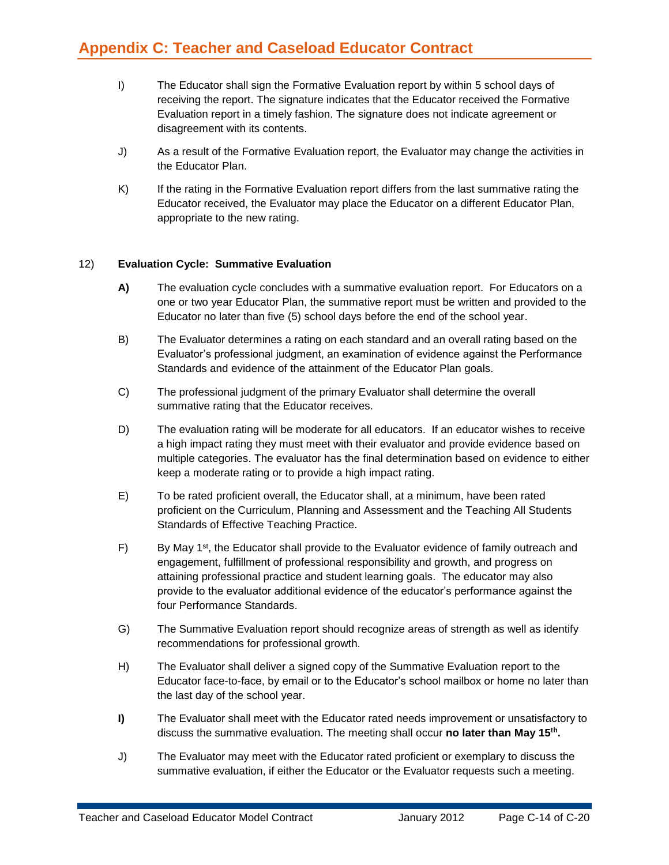- I) The Educator shall sign the Formative Evaluation report by within 5 school days of receiving the report. The signature indicates that the Educator received the Formative Evaluation report in a timely fashion. The signature does not indicate agreement or disagreement with its contents.
- J) As a result of the Formative Evaluation report, the Evaluator may change the activities in the Educator Plan.
- K) If the rating in the Formative Evaluation report differs from the last summative rating the Educator received, the Evaluator may place the Educator on a different Educator Plan, appropriate to the new rating.

#### 12) **Evaluation Cycle: Summative Evaluation**

- **A)** The evaluation cycle concludes with a summative evaluation report. For Educators on a one or two year Educator Plan, the summative report must be written and provided to the Educator no later than five (5) school days before the end of the school year.
- B) The Evaluator determines a rating on each standard and an overall rating based on the Evaluator's professional judgment, an examination of evidence against the Performance Standards and evidence of the attainment of the Educator Plan goals.
- C) The professional judgment of the primary Evaluator shall determine the overall summative rating that the Educator receives.
- D) The evaluation rating will be moderate for all educators. If an educator wishes to receive a high impact rating they must meet with their evaluator and provide evidence based on multiple categories. The evaluator has the final determination based on evidence to either keep a moderate rating or to provide a high impact rating.
- E) To be rated proficient overall, the Educator shall, at a minimum, have been rated proficient on the Curriculum, Planning and Assessment and the Teaching All Students Standards of Effective Teaching Practice.
- F) By May 1<sup>st</sup>, the Educator shall provide to the Evaluator evidence of family outreach and engagement, fulfillment of professional responsibility and growth, and progress on attaining professional practice and student learning goals. The educator may also provide to the evaluator additional evidence of the educator's performance against the four Performance Standards.
- G) The Summative Evaluation report should recognize areas of strength as well as identify recommendations for professional growth.
- H) The Evaluator shall deliver a signed copy of the Summative Evaluation report to the Educator face-to-face, by email or to the Educator's school mailbox or home no later than the last day of the school year.
- **I)** The Evaluator shall meet with the Educator rated needs improvement or unsatisfactory to discuss the summative evaluation. The meeting shall occur **no later than May 15th .**
- J) The Evaluator may meet with the Educator rated proficient or exemplary to discuss the summative evaluation, if either the Educator or the Evaluator requests such a meeting.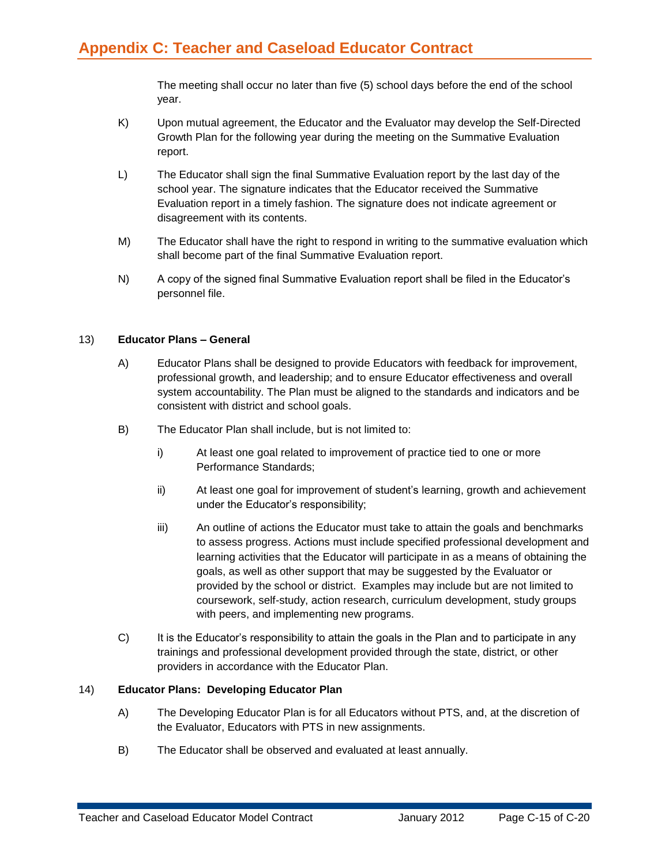The meeting shall occur no later than five (5) school days before the end of the school year.

- K) Upon mutual agreement, the Educator and the Evaluator may develop the Self-Directed Growth Plan for the following year during the meeting on the Summative Evaluation report.
- L) The Educator shall sign the final Summative Evaluation report by the last day of the school year. The signature indicates that the Educator received the Summative Evaluation report in a timely fashion. The signature does not indicate agreement or disagreement with its contents.
- M) The Educator shall have the right to respond in writing to the summative evaluation which shall become part of the final Summative Evaluation report.
- N) A copy of the signed final Summative Evaluation report shall be filed in the Educator's personnel file.

#### 13) **Educator Plans – General**

- A) Educator Plans shall be designed to provide Educators with feedback for improvement, professional growth, and leadership; and to ensure Educator effectiveness and overall system accountability. The Plan must be aligned to the standards and indicators and be consistent with district and school goals.
- B) The Educator Plan shall include, but is not limited to:
	- i) At least one goal related to improvement of practice tied to one or more Performance Standards;
	- ii) At least one goal for improvement of student's learning, growth and achievement under the Educator's responsibility;
	- iii) An outline of actions the Educator must take to attain the goals and benchmarks to assess progress. Actions must include specified professional development and learning activities that the Educator will participate in as a means of obtaining the goals, as well as other support that may be suggested by the Evaluator or provided by the school or district. Examples may include but are not limited to coursework, self-study, action research, curriculum development, study groups with peers, and implementing new programs.
- C) It is the Educator's responsibility to attain the goals in the Plan and to participate in any trainings and professional development provided through the state, district, or other providers in accordance with the Educator Plan.

#### 14) **Educator Plans: Developing Educator Plan**

- A) The Developing Educator Plan is for all Educators without PTS, and, at the discretion of the Evaluator, Educators with PTS in new assignments.
- B) The Educator shall be observed and evaluated at least annually.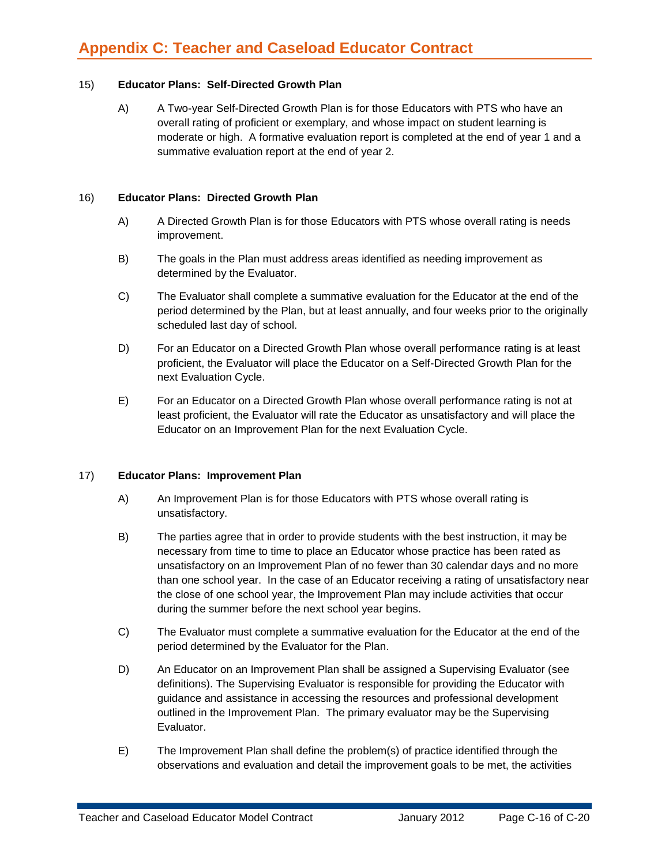#### 15) **Educator Plans: Self-Directed Growth Plan**

A) A Two-year Self-Directed Growth Plan is for those Educators with PTS who have an overall rating of proficient or exemplary, and whose impact on student learning is moderate or high. A formative evaluation report is completed at the end of year 1 and a summative evaluation report at the end of year 2.

#### 16) **Educator Plans: Directed Growth Plan**

- A) A Directed Growth Plan is for those Educators with PTS whose overall rating is needs improvement.
- B) The goals in the Plan must address areas identified as needing improvement as determined by the Evaluator.
- C) The Evaluator shall complete a summative evaluation for the Educator at the end of the period determined by the Plan, but at least annually, and four weeks prior to the originally scheduled last day of school.
- D) For an Educator on a Directed Growth Plan whose overall performance rating is at least proficient, the Evaluator will place the Educator on a Self-Directed Growth Plan for the next Evaluation Cycle.
- E) For an Educator on a Directed Growth Plan whose overall performance rating is not at least proficient, the Evaluator will rate the Educator as unsatisfactory and will place the Educator on an Improvement Plan for the next Evaluation Cycle.

#### 17) **Educator Plans: Improvement Plan**

- A) An Improvement Plan is for those Educators with PTS whose overall rating is unsatisfactory.
- B) The parties agree that in order to provide students with the best instruction, it may be necessary from time to time to place an Educator whose practice has been rated as unsatisfactory on an Improvement Plan of no fewer than 30 calendar days and no more than one school year. In the case of an Educator receiving a rating of unsatisfactory near the close of one school year, the Improvement Plan may include activities that occur during the summer before the next school year begins.
- C) The Evaluator must complete a summative evaluation for the Educator at the end of the period determined by the Evaluator for the Plan.
- D) An Educator on an Improvement Plan shall be assigned a Supervising Evaluator (see definitions). The Supervising Evaluator is responsible for providing the Educator with guidance and assistance in accessing the resources and professional development outlined in the Improvement Plan. The primary evaluator may be the Supervising Evaluator.
- E) The Improvement Plan shall define the problem(s) of practice identified through the observations and evaluation and detail the improvement goals to be met, the activities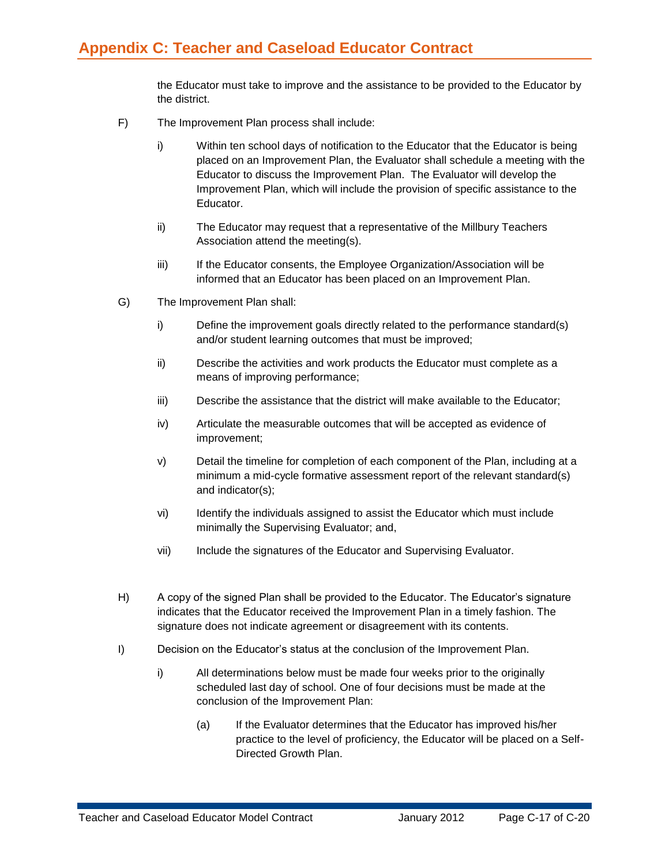the Educator must take to improve and the assistance to be provided to the Educator by the district.

- F) The Improvement Plan process shall include:
	- i) Within ten school days of notification to the Educator that the Educator is being placed on an Improvement Plan, the Evaluator shall schedule a meeting with the Educator to discuss the Improvement Plan. The Evaluator will develop the Improvement Plan, which will include the provision of specific assistance to the Educator.
	- ii) The Educator may request that a representative of the Millbury Teachers Association attend the meeting(s).
	- iii) If the Educator consents, the Employee Organization/Association will be informed that an Educator has been placed on an Improvement Plan.
- G) The Improvement Plan shall:
	- i) Define the improvement goals directly related to the performance standard(s) and/or student learning outcomes that must be improved;
	- ii) Describe the activities and work products the Educator must complete as a means of improving performance;
	- iii) Describe the assistance that the district will make available to the Educator;
	- iv) Articulate the measurable outcomes that will be accepted as evidence of improvement;
	- v) Detail the timeline for completion of each component of the Plan, including at a minimum a mid-cycle formative assessment report of the relevant standard(s) and indicator(s);
	- vi) Identify the individuals assigned to assist the Educator which must include minimally the Supervising Evaluator; and,
	- vii) Include the signatures of the Educator and Supervising Evaluator.
- H) A copy of the signed Plan shall be provided to the Educator. The Educator's signature indicates that the Educator received the Improvement Plan in a timely fashion. The signature does not indicate agreement or disagreement with its contents.
- I) Decision on the Educator's status at the conclusion of the Improvement Plan.
	- i) All determinations below must be made four weeks prior to the originally scheduled last day of school. One of four decisions must be made at the conclusion of the Improvement Plan:
		- (a) If the Evaluator determines that the Educator has improved his/her practice to the level of proficiency, the Educator will be placed on a Self-Directed Growth Plan.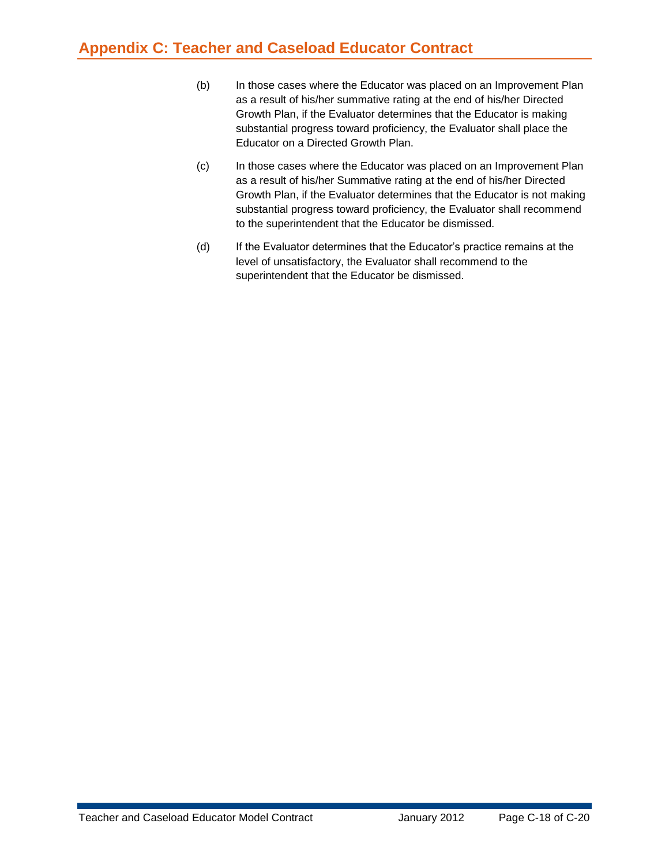- (b) In those cases where the Educator was placed on an Improvement Plan as a result of his/her summative rating at the end of his/her Directed Growth Plan, if the Evaluator determines that the Educator is making substantial progress toward proficiency, the Evaluator shall place the Educator on a Directed Growth Plan.
- (c) In those cases where the Educator was placed on an Improvement Plan as a result of his/her Summative rating at the end of his/her Directed Growth Plan, if the Evaluator determines that the Educator is not making substantial progress toward proficiency, the Evaluator shall recommend to the superintendent that the Educator be dismissed.
- (d) If the Evaluator determines that the Educator's practice remains at the level of unsatisfactory, the Evaluator shall recommend to the superintendent that the Educator be dismissed.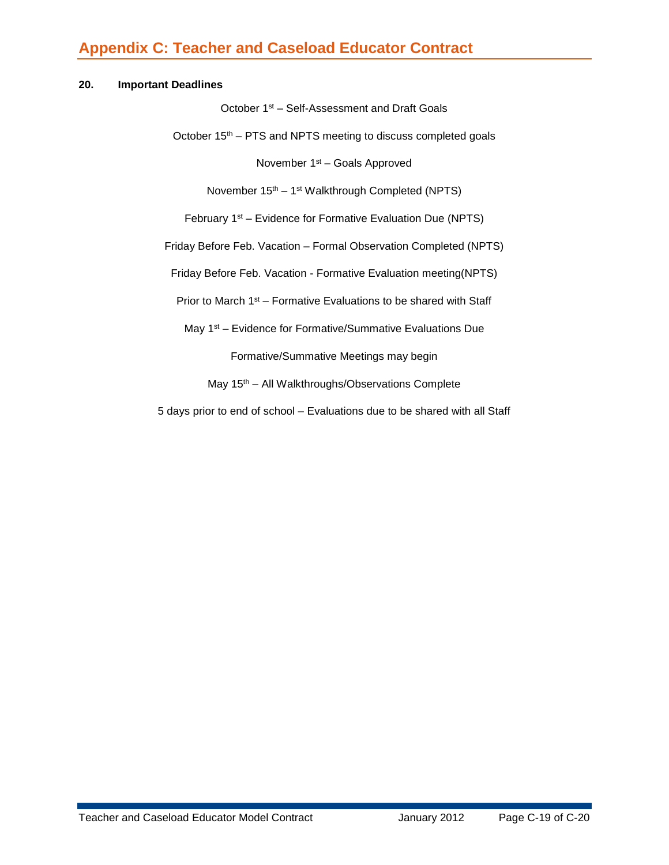#### **20. Important Deadlines**

October 1st – Self-Assessment and Draft Goals

October  $15<sup>th</sup>$  – PTS and NPTS meeting to discuss completed goals

November 1st – Goals Approved

November 15<sup>th</sup> – 1<sup>st</sup> Walkthrough Completed (NPTS)

February 1<sup>st</sup> – Evidence for Formative Evaluation Due (NPTS)

Friday Before Feb. Vacation – Formal Observation Completed (NPTS)

Friday Before Feb. Vacation - Formative Evaluation meeting(NPTS)

Prior to March 1<sup>st</sup> – Formative Evaluations to be shared with Staff

May 1<sup>st</sup> – Evidence for Formative/Summative Evaluations Due

Formative/Summative Meetings may begin

May 15<sup>th</sup> – All Walkthroughs/Observations Complete

5 days prior to end of school – Evaluations due to be shared with all Staff